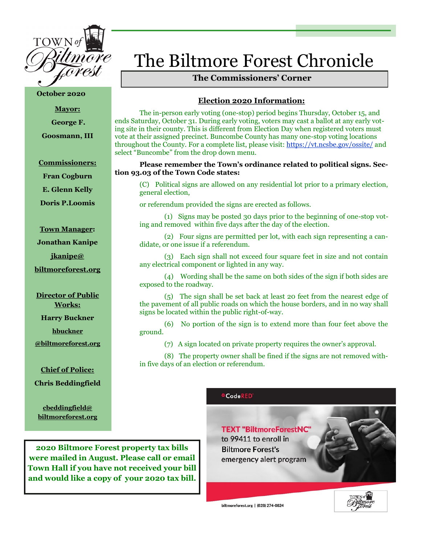

**October 2020**

**Mayor:**

**George F.**

**Goosmann, III**

**Commissioners:**

**Fran Cogburn**

**E. Glenn Kelly**

**Doris P.Loomis**

**Town Manager:**

**Jonathan Kanipe**

**jkanipe@**

**biltmoreforest.org**

**Director of Public Works:**

**Harry Buckner** 

**hbuckner**

**@biltmoreforest.org**

**Chief of Police: Chris Beddingfield**

**cbeddingfield@ biltmoreforest.org**

# The Biltmore Forest Chronicle

# **The Commissioners' Corner**

# **Election 2020 Information:**

The in-person early voting (one-stop) period begins Thursday, October 15, and ends Saturday, October 31. During early voting, voters may cast a ballot at any early voting site in their county. This is different from Election Day when registered voters must vote at their assigned precinct. Buncombe County has many one-stop voting locations throughout the County. For a complete list, please visit: <https://vt.ncsbe.gov/ossite/> and select "Buncombe" from the drop down menu.

# **Please remember the Town's ordinance related to political signs. Section 93.03 of the Town Code states:**

(C) Political signs are allowed on any residential lot prior to a primary election, general election,

or referendum provided the signs are erected as follows.

 (1) Signs may be posted 30 days prior to the beginning of one-stop voting and removed within five days after the day of the election.

 (2) Four signs are permitted per lot, with each sign representing a candidate, or one issue if a referendum.

 (3) Each sign shall not exceed four square feet in size and not contain any electrical component or lighted in any way.

 (4) Wording shall be the same on both sides of the sign if both sides are exposed to the roadway.

 (5) The sign shall be set back at least 20 feet from the nearest edge of the pavement of all public roads on which the house borders, and in no way shall signs be located within the public right-of-way.

 (6) No portion of the sign is to extend more than four feet above the ground.

(7) A sign located on private property requires the owner's approval.

 (8) The property owner shall be fined if the signs are not removed within five days of an election or referendum.

# <mark><sup>∆</sup>CodeRED</mark>

**TEXT "BiltmoreForestNC"** to 99411 to enroll in **Biltmore Forest's** emergency alert program

biltmoreforest.org | (828) 274-0824



**2020 Biltmore Forest property tax bills were mailed in August. Please call or email Town Hall if you have not received your bill and would like a copy of your 2020 tax bill.**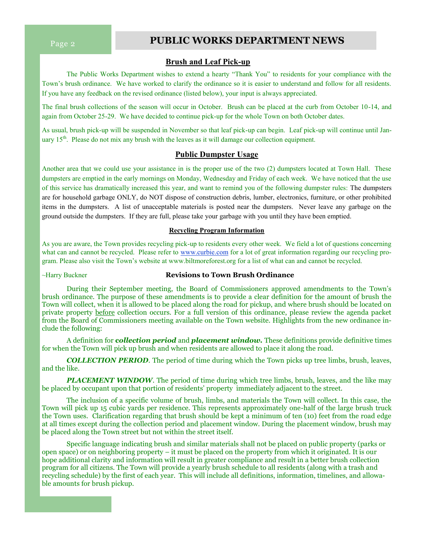# **Page 2 PUBLIC WORKS DEPARTMENT NEWS**

# **Brush and Leaf Pick-up**

The Public Works Department wishes to extend a hearty "Thank You" to residents for your compliance with the Town's brush ordinance. We have worked to clarify the ordinance so it is easier to understand and follow for all residents. If you have any feedback on the revised ordinance (listed below), your input is always appreciated.

The final brush collections of the season will occur in October. Brush can be placed at the curb from October 10-14, and again from October 25-29. We have decided to continue pick-up for the whole Town on both October dates.

As usual, brush pick-up will be suspended in November so that leaf pick-up can begin. Leaf pick-up will continue until January  $15<sup>th</sup>$ . Please do not mix any brush with the leaves as it will damage our collection equipment.

#### **Public Dumpster Usage**

Another area that we could use your assistance in is the proper use of the two (2) dumpsters located at Town Hall. These dumpsters are emptied in the early mornings on Monday, Wednesday and Friday of each week. We have noticed that the use of this service has dramatically increased this year, and want to remind you of the following dumpster rules: The dumpsters are for household garbage ONLY, do NOT dispose of construction debris, lumber, electronics, furniture, or other prohibited items in the dumpsters. A list of unacceptable materials is posted near the dumpsters. Never leave any garbage on the ground outside the dumpsters. If they are full, please take your garbage with you until they have been emptied.

## **Recycling Program Information**

As you are aware, the Town provides recycling pick-up to residents every other week. We field a lot of questions concerning what can and cannot be recycled. Please refer to [www.curbie.com](http://www.curbie.com) for a lot of great information regarding our recycling program. Please also visit the Town's website at www.biltmoreforest.org for a list of what can and cannot be recycled.

#### ~Harry Buckner **Revisions to Town Brush Ordinance**

During their September meeting, the Board of Commissioners approved amendments to the Town's brush ordinance. The purpose of these amendments is to provide a clear definition for the amount of brush the Town will collect, when it is allowed to be placed along the road for pickup, and where brush should be located on private property before collection occurs. For a full version of this ordinance, please review the agenda packet from the Board of Commissioners meeting available on the Town website. Highlights from the new ordinance include the following:

A definition for **c***ollection period* and *placement window.* These definitions provide definitive times for when the Town will pick up brush and when residents are allowed to place it along the road.

**COLLECTION PERIOD.** The period of time during which the Town picks up tree limbs, brush, leaves, and the like.

**PLACEMENT WINDOW**. The period of time during which tree limbs, brush, leaves, and the like may be placed by occupant upon that portion of residents' property immediately adjacent to the street.

The inclusion of a specific volume of brush, limbs, and materials the Town will collect. In this case, the Town will pick up 15 cubic yards per residence. This represents approximately one-half of the large brush truck the Town uses. Clarification regarding that brush should be kept a minimum of ten (10) feet from the road edge at all times except during the collection period and placement window. During the placement window, brush may be placed along the Town street but not within the street itself.

Specific language indicating brush and similar materials shall not be placed on public property (parks or open space) or on neighboring property – it must be placed on the property from which it originated. It is our hope additional clarity and information will result in greater compliance and result in a better brush collection program for all citizens. The Town will provide a yearly brush schedule to all residents (along with a trash and recycling schedule) by the first of each year. This will include all definitions, information, timelines, and allowable amounts for brush pickup.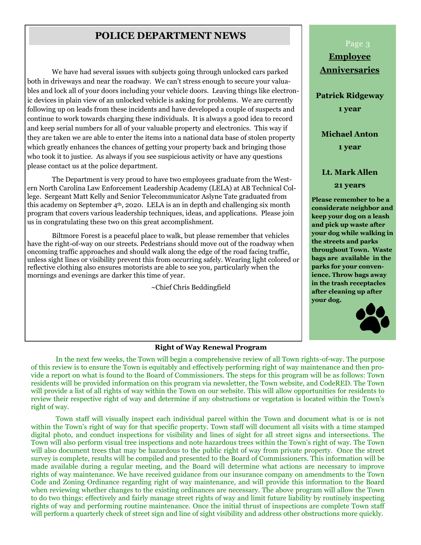# **POLICE DEPARTMENT NEWS**

We have had several issues with subjects going through unlocked cars parked both in driveways and near the roadway. We can't stress enough to secure your valuables and lock all of your doors including your vehicle doors. Leaving things like electronic devices in plain view of an unlocked vehicle is asking for problems. We are currently following up on leads from these incidents and have developed a couple of suspects and continue to work towards charging these individuals. It is always a good idea to record and keep serial numbers for all of your valuable property and electronics. This way if they are taken we are able to enter the items into a national data base of stolen property which greatly enhances the chances of getting your property back and bringing those who took it to justice. As always if you see suspicious activity or have any questions please contact us at the police department.

The Department is very proud to have two employees graduate from the Western North Carolina Law Enforcement Leadership Academy (LELA) at AB Technical College. Sergeant Matt Kelly and Senior Telecommunicator Aslyne Tate graduated from this academy on September  $4<sup>th</sup>$ , 2020. LELA is an in depth and challenging six month program that covers various leadership techniques, ideas, and applications. Please join us in congratulating these two on this great accomplishment.

Biltmore Forest is a peaceful place to walk, but please remember that vehicles have the right-of-way on our streets. Pedestrians should move out of the roadway when oncoming traffic approaches and should walk along the edge of the road facing traffic, unless sight lines or visibility prevent this from occurring safely. Wearing light colored or reflective clothing also ensures motorists are able to see you, particularly when the mornings and evenings are darker this time of year.

~Chief Chris Beddingfield

# Page 3

**Employee Anniversaries**

**Patrick Ridgeway 1 year**

**Michael Anton 1 year**

# **Lt. Mark Allen 21 years**

**Please remember to be a considerate neighbor and keep your dog on a leash and pick up waste after your dog while walking in the streets and parks throughout Town. Waste bags are available in the parks for your convenience. Throw bags away in the trash receptacles after cleaning up after your dog.** 



## **Right of Way Renewal Program**

In the next few weeks, the Town will begin a comprehensive review of all Town rights-of-way. The purpose of this review is to ensure the Town is equitably and effectively performing right of way maintenance and then provide a report on what is found to the Board of Commissioners. The steps for this program will be as follows: Town residents will be provided information on this program via newsletter, the Town website, and CodeRED. The Town will provide a list of all rights of way within the Town on our website. This will allow opportunities for residents to review their respective right of way and determine if any obstructions or vegetation is located within the Town's right of way.

Town staff will visually inspect each individual parcel within the Town and document what is or is not within the Town's right of way for that specific property. Town staff will document all visits with a time stamped digital photo, and conduct inspections for visibility and lines of sight for all street signs and intersections. The Town will also perform visual tree inspections and note hazardous trees within the Town's right of way. The Town will also document trees that may be hazardous to the public right of way from private property. Once the street survey is complete, results will be compiled and presented to the Board of Commissioners. This information will be made available during a regular meeting, and the Board will determine what actions are necessary to improve rights of way maintenance. We have received guidance from our insurance company on amendments to the Town Code and Zoning Ordinance regarding right of way maintenance, and will provide this information to the Board when reviewing whether changes to the existing ordinances are necessary. The above program will allow the Town to do two things: effectively and fairly manage street rights of way and limit future liability by routinely inspecting rights of way and performing routine maintenance. Once the initial thrust of inspections are complete Town staff will perform a quarterly check of street sign and line of sight visibility and address other obstructions more quickly.